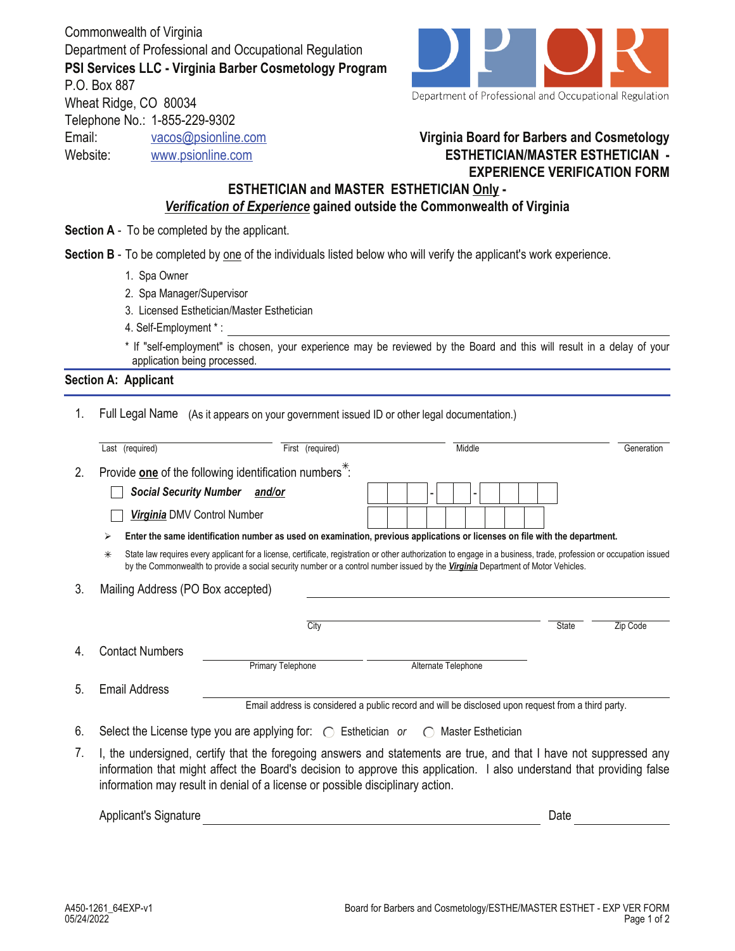Commonwealth of Virginia Department of Professional and Occupational Regulation **PSI Services LLC - Virginia Barber Cosmetology Program** P.O. Box 887 Wheat Ridge, CO 80034 Telephone No.: 1-855-229-9302 Email: vacos@psionline.com



Department of Professional and Occupational Regulation

## **Virginia Board for Barbers and Cosmetology ESTHETICIAN/MASTER ESTHETICIAN - EXPERIENCE VERIFICATION FORM**

## *Verification of Experience* **gained outside the Commonwealth of Virginia ESTHETICIAN and MASTER ESTHETICIAN Only -**

**Section A** - To be completed by the applicant.

**Section B** - To be completed by one of the individuals listed below who will verify the applicant's work experience.

1. Spa Owner

Website: www.psionline.com

- 2. Spa Manager/Supervisor
- 3. Licensed Esthetician/Master Esthetician
- 4. Self-Employment \* :

\* If "self-employment" is chosen, your experience may be reviewed by the Board and this will result in a delay of your application being processed.

## **Section A: Applicant**

1. Full Legal Name (As it appears on your government issued ID or other legal documentation.)

|    | Last (required)                                                                                                                                                                                                                                                                                                                | First (required)              | Middle                                                                                                                                                                                                                                                                                                 | Generation               |  |  |  |  |
|----|--------------------------------------------------------------------------------------------------------------------------------------------------------------------------------------------------------------------------------------------------------------------------------------------------------------------------------|-------------------------------|--------------------------------------------------------------------------------------------------------------------------------------------------------------------------------------------------------------------------------------------------------------------------------------------------------|--------------------------|--|--|--|--|
| 2. | Provide one of the following identification numbers <sup>*</sup> :                                                                                                                                                                                                                                                             |                               |                                                                                                                                                                                                                                                                                                        |                          |  |  |  |  |
|    |                                                                                                                                                                                                                                                                                                                                | Social Security Number and/or |                                                                                                                                                                                                                                                                                                        |                          |  |  |  |  |
|    | Virginia DMV Control Number                                                                                                                                                                                                                                                                                                    |                               |                                                                                                                                                                                                                                                                                                        |                          |  |  |  |  |
|    | ⋗                                                                                                                                                                                                                                                                                                                              |                               | Enter the same identification number as used on examination, previous applications or licenses on file with the department.                                                                                                                                                                            |                          |  |  |  |  |
|    | $\ast$                                                                                                                                                                                                                                                                                                                         |                               | State law requires every applicant for a license, certificate, registration or other authorization to engage in a business, trade, profession or occupation issued<br>by the Commonwealth to provide a social security number or a control number issued by the Virginia Department of Motor Vehicles. |                          |  |  |  |  |
| 3. | Mailing Address (PO Box accepted)                                                                                                                                                                                                                                                                                              |                               |                                                                                                                                                                                                                                                                                                        |                          |  |  |  |  |
|    |                                                                                                                                                                                                                                                                                                                                |                               |                                                                                                                                                                                                                                                                                                        |                          |  |  |  |  |
|    |                                                                                                                                                                                                                                                                                                                                | City                          |                                                                                                                                                                                                                                                                                                        | <b>State</b><br>Zip Code |  |  |  |  |
| 4. | <b>Contact Numbers</b>                                                                                                                                                                                                                                                                                                         |                               |                                                                                                                                                                                                                                                                                                        |                          |  |  |  |  |
|    |                                                                                                                                                                                                                                                                                                                                | <b>Primary Telephone</b>      | Alternate Telephone                                                                                                                                                                                                                                                                                    |                          |  |  |  |  |
| 5. | <b>Email Address</b>                                                                                                                                                                                                                                                                                                           |                               |                                                                                                                                                                                                                                                                                                        |                          |  |  |  |  |
|    | Email address is considered a public record and will be disclosed upon request from a third party.                                                                                                                                                                                                                             |                               |                                                                                                                                                                                                                                                                                                        |                          |  |  |  |  |
| 6. | Select the License type you are applying for: $\bigcirc$ Esthetician or $\bigcirc$ Master Esthetician                                                                                                                                                                                                                          |                               |                                                                                                                                                                                                                                                                                                        |                          |  |  |  |  |
| 7. | I, the undersigned, certify that the foregoing answers and statements are true, and that I have not suppressed any<br>information that might affect the Board's decision to approve this application. I also understand that providing false<br>information may result in denial of a license or possible disciplinary action. |                               |                                                                                                                                                                                                                                                                                                        |                          |  |  |  |  |

| Sidhature<br>лин<br>$\sim$ |  |  |
|----------------------------|--|--|
|                            |  |  |